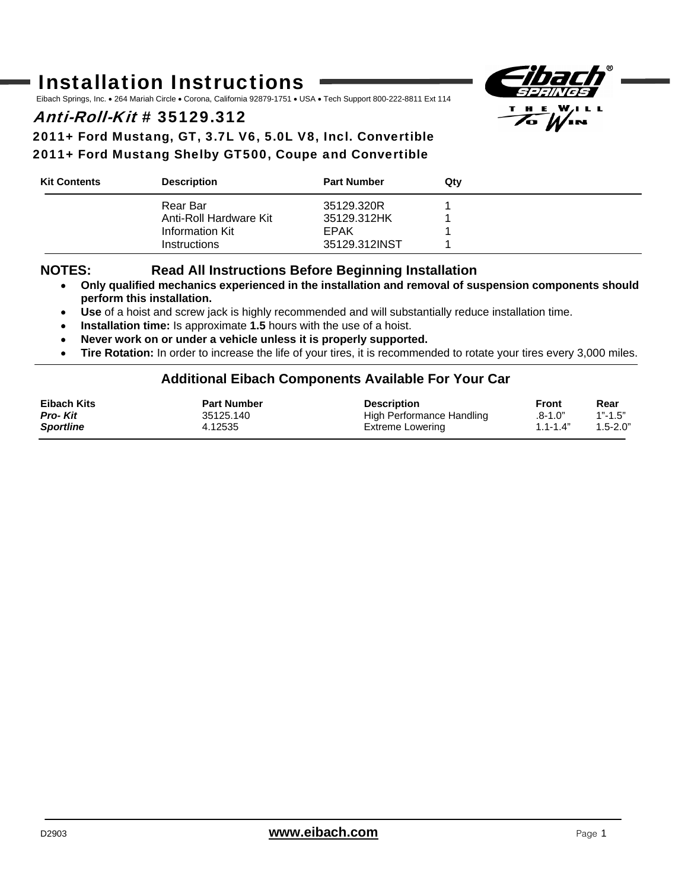# Installation Instructions

Eibach Springs, Inc. • 264 Mariah Circle • Corona, California 92879-1751 • USA • Tech Support 800-222-8811 Ext 114

## Anti-Roll-Kit # 35129.312

2011+ Ford Mustang, GT, 3.7L V6, 5.0L V8, Incl. Convertible 2011+ Ford Mustang Shelby GT500, Coupe and Convertible

| <b>Kit Contents</b> | <b>Description</b>     | <b>Part Number</b> | Qtv |  |
|---------------------|------------------------|--------------------|-----|--|
|                     | Rear Bar               | 35129.320R         |     |  |
|                     | Anti-Roll Hardware Kit | 35129.312HK        |     |  |
|                     | Information Kit        | EPAK               |     |  |
|                     | <b>Instructions</b>    | 35129.312INST      |     |  |

#### **NOTES: Read All Instructions Before Beginning Installation**

- • **Only qualified mechanics experienced in the installation and removal of suspension components should perform this installation.**
- • **Use** of a hoist and screw jack is highly recommended and will substantially reduce installation time.
- • **Installation time:** Is approximate **1.5** hours with the use of a hoist.
- • **Never work on or under a vehicle unless it is properly supported.**
- • **Tire Rotation:** In order to increase the life of your tires, it is recommended to rotate your tires every 3,000 miles.

#### **Additional Eibach Components Available For Your Car**

| Eibach Kits      | <b>Part Number</b> | <b>Description</b>        | Front        | Rear         |
|------------------|--------------------|---------------------------|--------------|--------------|
| <b>Pro-Kit</b>   | 35125.140          | High Performance Handling | .8-1.0"      | $1" - 1.5"$  |
| <b>Sportline</b> | 4.12535            | Extreme Lowering          | $1.1 - 1.4"$ | $1.5 - 2.0"$ |

 $H.E.$ **7. W.**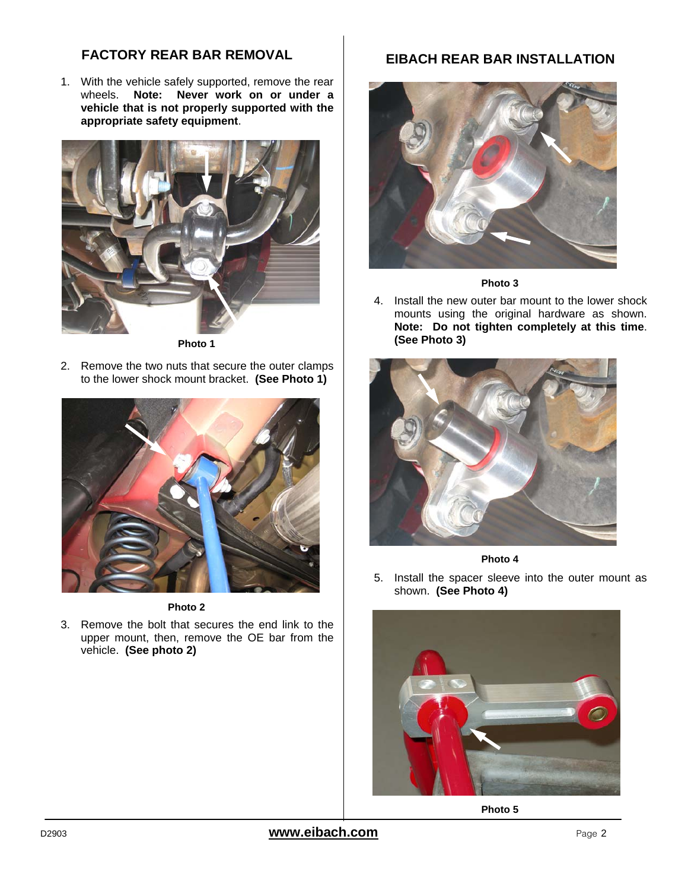#### **FACTORY REAR BAR REMOVAL**

1. With the vehicle safely supported, remove the rear wheels. **Note: Never work on or under a vehicle that is not properly supported with the appropriate safety equipment**.



**Photo 1** 

2. Remove the two nuts that secure the outer clamps to the lower shock mount bracket. **(See Photo 1)**



**Photo 2** 

3. Remove the bolt that secures the end link to the upper mount, then, remove the OE bar from the vehicle. **(See photo 2)**

### **EIBACH REAR BAR INSTALLATION**



**Photo 3** 

4. Install the new outer bar mount to the lower shock mounts using the original hardware as shown. **Note: Do not tighten completely at this time**. **(See Photo 3)**





5. Install the spacer sleeve into the outer mount as shown. **(See Photo 4)**



**Photo 5**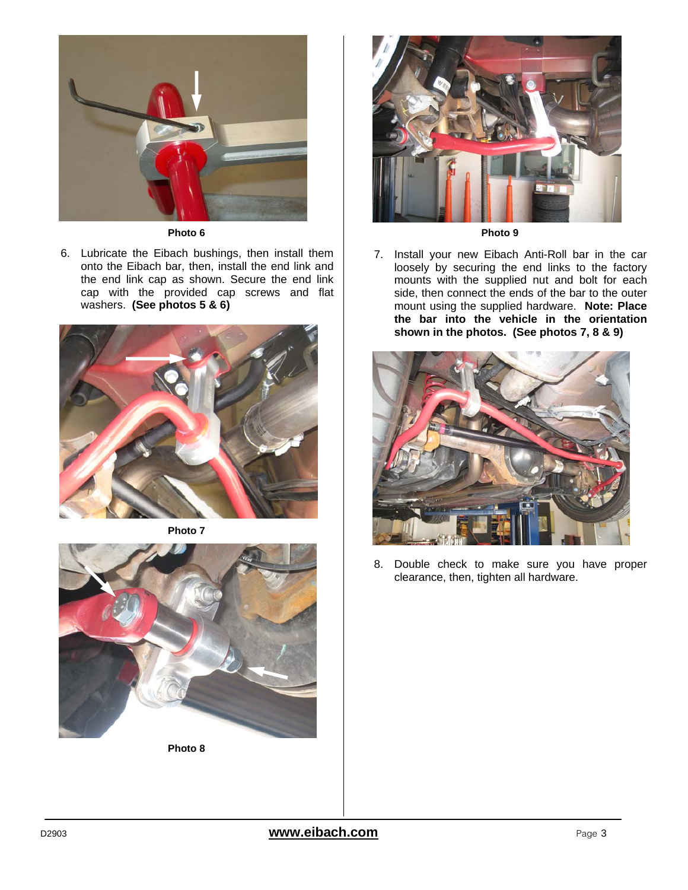

#### **Photo 6**

6. Lubricate the Eibach bushings, then install them onto the Eibach bar, then, install the end link and the end link cap as shown. Secure the end link cap with the provided cap screws and flat washers. **(See photos 5 & 6)**



**Photo 7** 



**Photo 8** 



**Photo 9** 

7. Install your new Eibach Anti-Roll bar in the car loosely by securing the end links to the factory mounts with the supplied nut and bolt for each side, then connect the ends of the bar to the outer mount using the supplied hardware. **Note: Place the bar into the vehicle in the orientation shown in the photos. (See photos 7, 8 & 9)**



8. Double check to make sure you have proper clearance, then, tighten all hardware.